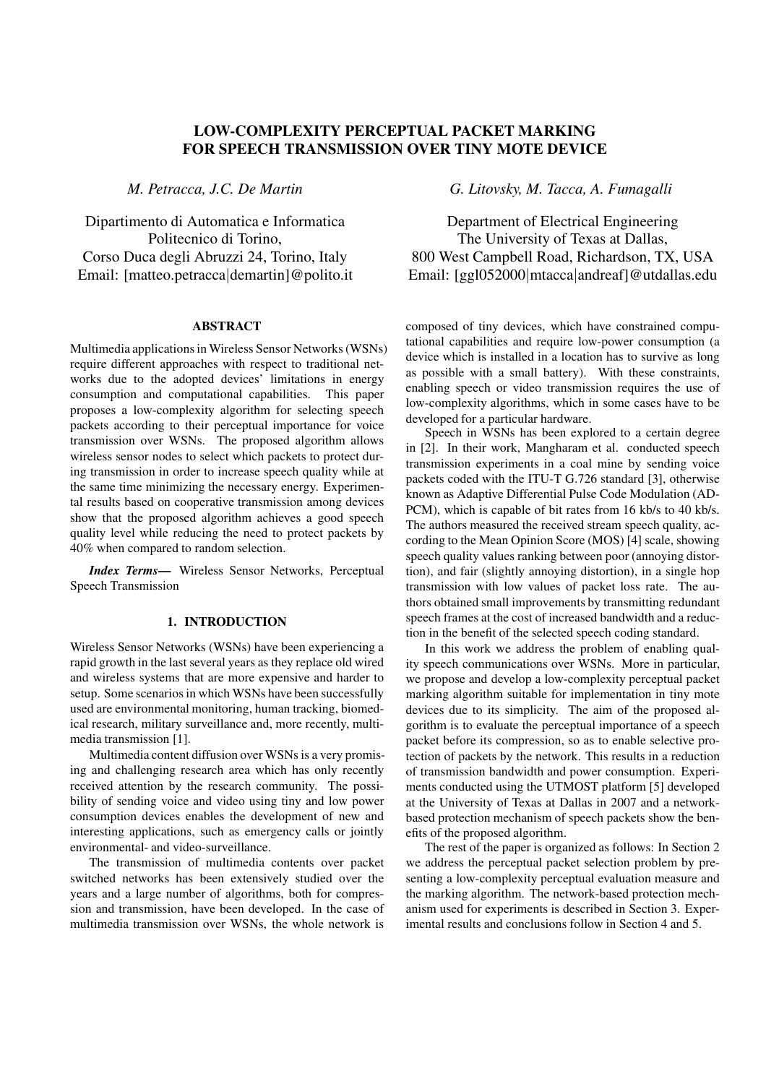# **LOW-COMPLEXITY PERCEPTUAL PACKET MARKING FOR SPEECH TRANSMISSION OVER TINY MOTE DEVICE**

*M. Petracca, J.C. De Martin*

Dipartimento di Automatica e Informatica Politecnico di Torino, Corso Duca degli Abruzzi 24, Torino, Italy Email: [matteo.petracca|demartin]@polito.it

# **ABSTRACT**

Multimedia applications in Wireless Sensor Networks (WSNs) require different approaches with respect to traditional networks due to the adopted devices' limitations in energy consumption and computational capabilities. This paper proposes a low-complexity algorithm for selecting speech packets according to their perceptual importance for voice transmission over WSNs. The proposed algorithm allows wireless sensor nodes to select which packets to protect during transmission in order to increase speech quality while at the same time minimizing the necessary energy. Experimental results based on cooperative transmission among devices show that the proposed algorithm achieves a good speech quality level while reducing the need to protect packets by 40% when compared to random selection.

*Index Terms***—** Wireless Sensor Networks, Perceptual Speech Transmission

## **1. INTRODUCTION**

Wireless Sensor Networks (WSNs) have been experiencing a rapid growth in the last several years as they replace old wired and wireless systems that are more expensive and harder to setup. Some scenarios in which WSNs have been successfully used are environmental monitoring, human tracking, biomedical research, military surveillance and, more recently, multimedia transmission [1].

Multimedia content diffusion over WSNs is a very promising and challenging research area which has only recently received attention by the research community. The possibility of sending voice and video using tiny and low power consumption devices enables the development of new and interesting applications, such as emergency calls or jointly environmental- and video-surveillance.

The transmission of multimedia contents over packet switched networks has been extensively studied over the years and a large number of algorithms, both for compression and transmission, have been developed. In the case of multimedia transmission over WSNs, the whole network is

*G. Litovsky, M. Tacca, A. Fumagalli*

Department of Electrical Engineering The University of Texas at Dallas, 800 West Campbell Road, Richardson, TX, USA Email: [ggl052000|mtacca|andreaf]@utdallas.edu

composed of tiny devices, which have constrained computational capabilities and require low-power consumption (a device which is installed in a location has to survive as long as possible with a small battery). With these constraints, enabling speech or video transmission requires the use of low-complexity algorithms, which in some cases have to be developed for a particular hardware.

Speech in WSNs has been explored to a certain degree in [2]. In their work, Mangharam et al. conducted speech transmission experiments in a coal mine by sending voice packets coded with the ITU-T G.726 standard [3], otherwise known as Adaptive Differential Pulse Code Modulation (AD-PCM), which is capable of bit rates from 16 kb/s to 40 kb/s. The authors measured the received stream speech quality, according to the Mean Opinion Score (MOS) [4] scale, showing speech quality values ranking between poor (annoying distortion), and fair (slightly annoying distortion), in a single hop transmission with low values of packet loss rate. The authors obtained small improvements by transmitting redundant speech frames at the cost of increased bandwidth and a reduction in the benefit of the selected speech coding standard.

In this work we address the problem of enabling quality speech communications over WSNs. More in particular, we propose and develop a low-complexity perceptual packet marking algorithm suitable for implementation in tiny mote devices due to its simplicity. The aim of the proposed algorithm is to evaluate the perceptual importance of a speech packet before its compression, so as to enable selective protection of packets by the network. This results in a reduction of transmission bandwidth and power consumption. Experiments conducted using the UTMOST platform [5] developed at the University of Texas at Dallas in 2007 and a networkbased protection mechanism of speech packets show the benefits of the proposed algorithm.

The rest of the paper is organized as follows: In Section 2 we address the perceptual packet selection problem by presenting a low-complexity perceptual evaluation measure and the marking algorithm. The network-based protection mechanism used for experiments is described in Section 3. Experimental results and conclusions follow in Section 4 and 5.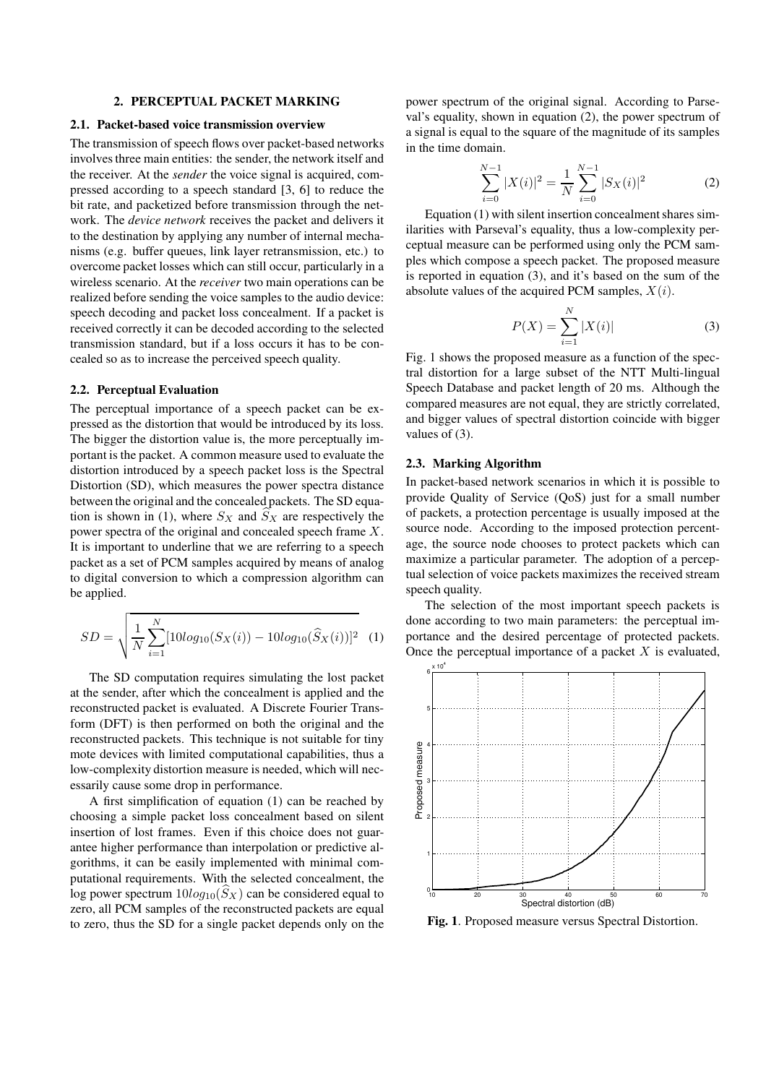# **2. PERCEPTUAL PACKET MARKING**

## **2.1. Packet-based voice transmission overview**

The transmission of speech flows over packet-based networks involves three main entities: the sender, the network itself and the receiver. At the *sender* the voice signal is acquired, compressed according to a speech standard [3, 6] to reduce the bit rate, and packetized before transmission through the network. The *device network* receives the packet and delivers it to the destination by applying any number of internal mechanisms (e.g. buffer queues, link layer retransmission, etc.) to overcome packet losses which can still occur, particularly in a wireless scenario. At the *receiver* two main operations can be realized before sending the voice samples to the audio device: speech decoding and packet loss concealment. If a packet is received correctly it can be decoded according to the selected transmission standard, but if a loss occurs it has to be concealed so as to increase the perceived speech quality.

## **2.2. Perceptual Evaluation**

The perceptual importance of a speech packet can be expressed as the distortion that would be introduced by its loss. The bigger the distortion value is, the more perceptually important is the packet. A common measure used to evaluate the distortion introduced by a speech packet loss is the Spectral Distortion (SD), which measures the power spectra distance between the original and the concealed packets. The SD equation is shown in (1), where  $S_X$  and  $S_X$  are respectively the power spectra of the original and concealed speech frame X. It is important to underline that we are referring to a speech packet as a set of PCM samples acquired by means of analog to digital conversion to which a compression algorithm can be applied.

$$
SD = \sqrt{\frac{1}{N} \sum_{i=1}^{N} [10\log_{10}(S_X(i)) - 10\log_{10}(\widehat{S}_X(i))]^2}
$$
 (1)

The SD computation requires simulating the lost packet at the sender, after which the concealment is applied and the reconstructed packet is evaluated. A Discrete Fourier Transform (DFT) is then performed on both the original and the reconstructed packets. This technique is not suitable for tiny mote devices with limited computational capabilities, thus a low-complexity distortion measure is needed, which will necessarily cause some drop in performance.

A first simplification of equation (1) can be reached by choosing a simple packet loss concealment based on silent insertion of lost frames. Even if this choice does not guarantee higher performance than interpolation or predictive algorithms, it can be easily implemented with minimal computational requirements. With the selected concealment, the log power spectrum  $10log_{10}(\hat{S}_X)$  can be considered equal to zero, all PCM samples of the reconstructed packets are equal to zero, thus the SD for a single packet depends only on the

power spectrum of the original signal. According to Parseval's equality, shown in equation (2), the power spectrum of a signal is equal to the square of the magnitude of its samples in the time domain.

$$
\sum_{i=0}^{N-1} |X(i)|^2 = \frac{1}{N} \sum_{i=0}^{N-1} |S_X(i)|^2
$$
 (2)

Equation (1) with silent insertion concealment shares similarities with Parseval's equality, thus a low-complexity perceptual measure can be performed using only the PCM samples which compose a speech packet. The proposed measure is reported in equation (3), and it's based on the sum of the absolute values of the acquired PCM samples,  $X(i)$ .

$$
P(X) = \sum_{i=1}^{N} |X(i)|
$$
 (3)

Fig. 1 shows the proposed measure as a function of the spectral distortion for a large subset of the NTT Multi-lingual Speech Database and packet length of 20 ms. Although the compared measures are not equal, they are strictly correlated, and bigger values of spectral distortion coincide with bigger values of (3).

## **2.3. Marking Algorithm**

In packet-based network scenarios in which it is possible to provide Quality of Service (QoS) just for a small number of packets, a protection percentage is usually imposed at the source node. According to the imposed protection percentage, the source node chooses to protect packets which can maximize a particular parameter. The adoption of a perceptual selection of voice packets maximizes the received stream speech quality.

The selection of the most important speech packets is done according to two main parameters: the perceptual importance and the desired percentage of protected packets. Once the perceptual importance of a packet  $X$  is evaluated,



**Fig. 1**. Proposed measure versus Spectral Distortion.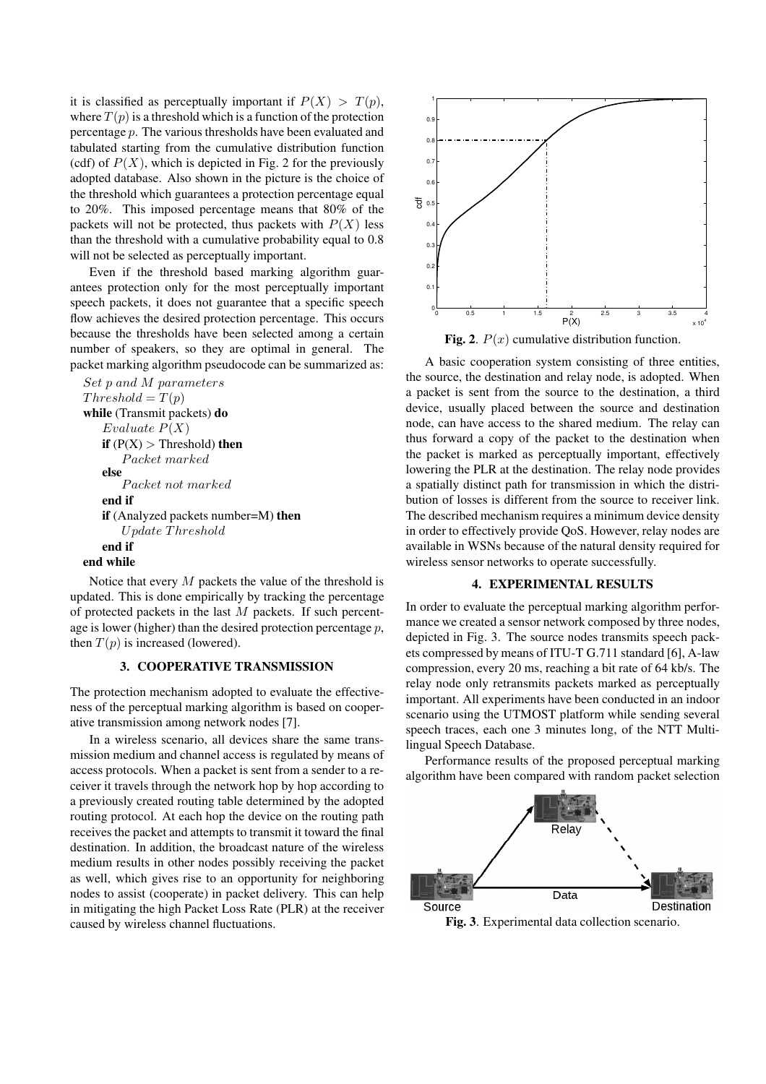it is classified as perceptually important if  $P(X) > T(p)$ , where  $T(p)$  is a threshold which is a function of the protection percentage p. The various thresholds have been evaluated and tabulated starting from the cumulative distribution function (cdf) of  $P(X)$ , which is depicted in Fig. 2 for the previously adopted database. Also shown in the picture is the choice of the threshold which guarantees a protection percentage equal to 20%. This imposed percentage means that 80% of the packets will not be protected, thus packets with  $P(X)$  less than the threshold with a cumulative probability equal to 0.8 will not be selected as perceptually important.

Even if the threshold based marking algorithm guarantees protection only for the most perceptually important speech packets, it does not guarantee that a specific speech flow achieves the desired protection percentage. This occurs because the thresholds have been selected among a certain number of speakers, so they are optimal in general. The packet marking algorithm pseudocode can be summarized as:

Set p and M parameters  $Threshold = T(p)$ **while** (Transmit packets) **do** Evaluate  $P(X)$ **if**  $(P(X) >$  Threshold) **then** Packet marked **else** Packet not marked **end if if** (Analyzed packets number=M) **then** Update Threshold **end if end while**

Notice that every  $M$  packets the value of the threshold is updated. This is done empirically by tracking the percentage of protected packets in the last M packets. If such percentage is lower (higher) than the desired protection percentage  $p$ , then  $T(p)$  is increased (lowered).

#### **3. COOPERATIVE TRANSMISSION**

The protection mechanism adopted to evaluate the effectiveness of the perceptual marking algorithm is based on cooperative transmission among network nodes [7].

In a wireless scenario, all devices share the same transmission medium and channel access is regulated by means of access protocols. When a packet is sent from a sender to a receiver it travels through the network hop by hop according to a previously created routing table determined by the adopted routing protocol. At each hop the device on the routing path receives the packet and attempts to transmit it toward the final destination. In addition, the broadcast nature of the wireless medium results in other nodes possibly receiving the packet as well, which gives rise to an opportunity for neighboring nodes to assist (cooperate) in packet delivery. This can help in mitigating the high Packet Loss Rate (PLR) at the receiver caused by wireless channel fluctuations.



**Fig. 2.**  $P(x)$  cumulative distribution function.

A basic cooperation system consisting of three entities, the source, the destination and relay node, is adopted. When a packet is sent from the source to the destination, a third device, usually placed between the source and destination node, can have access to the shared medium. The relay can thus forward a copy of the packet to the destination when the packet is marked as perceptually important, effectively lowering the PLR at the destination. The relay node provides a spatially distinct path for transmission in which the distribution of losses is different from the source to receiver link. The described mechanism requires a minimum device density in order to effectively provide QoS. However, relay nodes are available in WSNs because of the natural density required for wireless sensor networks to operate successfully.

## **4. EXPERIMENTAL RESULTS**

In order to evaluate the perceptual marking algorithm performance we created a sensor network composed by three nodes, depicted in Fig. 3. The source nodes transmits speech packets compressed by means of ITU-T G.711 standard [6], A-law compression, every 20 ms, reaching a bit rate of 64 kb/s. The relay node only retransmits packets marked as perceptually important. All experiments have been conducted in an indoor scenario using the UTMOST platform while sending several speech traces, each one 3 minutes long, of the NTT Multilingual Speech Database.

Performance results of the proposed perceptual marking algorithm have been compared with random packet selection